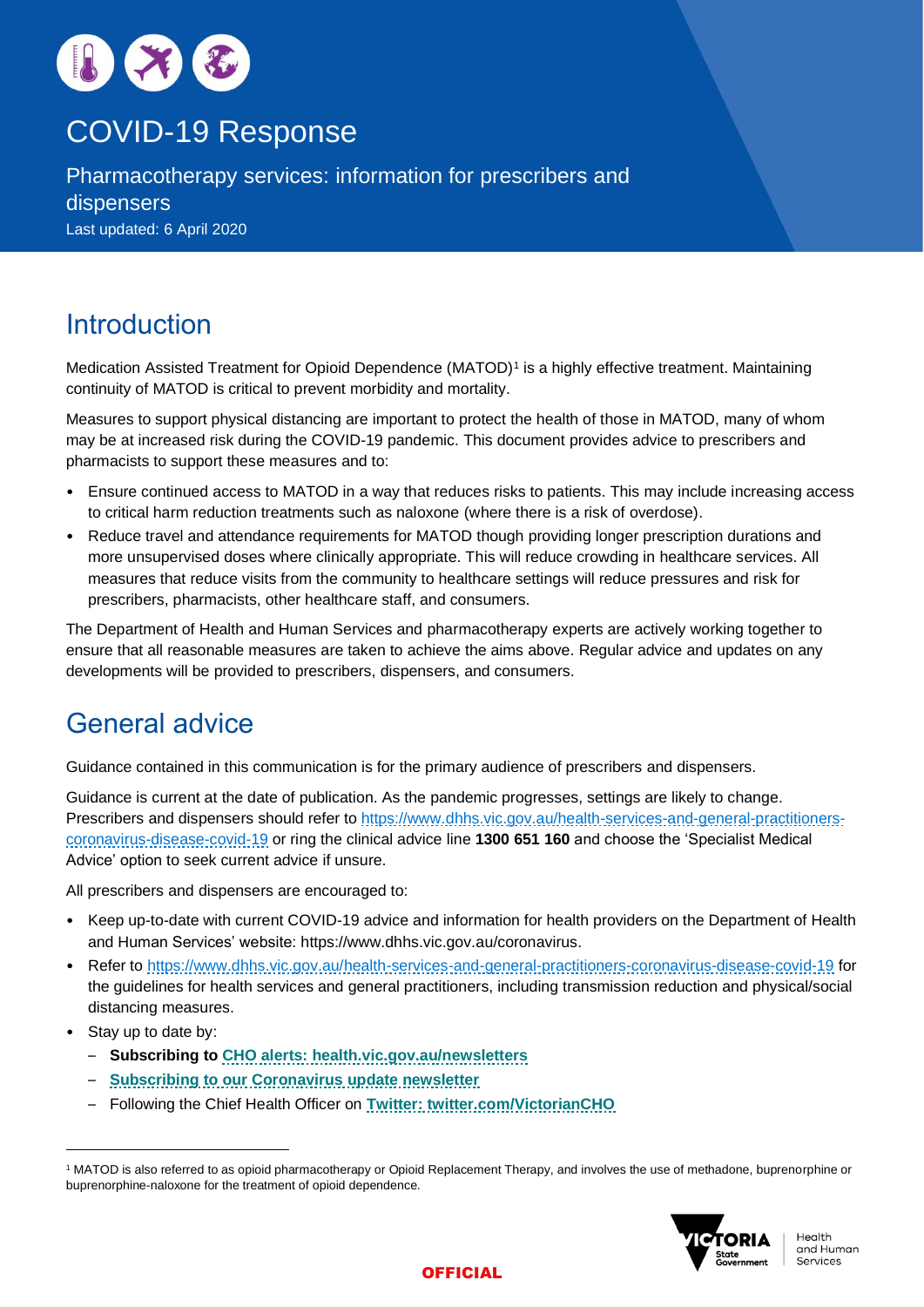

# COVID-19 Response

Pharmacotherapy services: information for prescribers and dispensers Last updated: 6 April 2020

# **Introduction**

Medication Assisted Treatment for Opioid Dependence (MATOD)<sup>1</sup> is a highly effective treatment. Maintaining continuity of MATOD is critical to prevent morbidity and mortality.

Measures to support physical distancing are important to protect the health of those in MATOD, many of whom may be at increased risk during the COVID-19 pandemic. This document provides advice to prescribers and pharmacists to support these measures and to:

- Ensure continued access to MATOD in a way that reduces risks to patients. This may include increasing access to critical harm reduction treatments such as naloxone (where there is a risk of overdose).
- Reduce travel and attendance requirements for MATOD though providing longer prescription durations and more unsupervised doses where clinically appropriate. This will reduce crowding in healthcare services. All measures that reduce visits from the community to healthcare settings will reduce pressures and risk for prescribers, pharmacists, other healthcare staff, and consumers.

The Department of Health and Human Services and pharmacotherapy experts are actively working together to ensure that all reasonable measures are taken to achieve the aims above. Regular advice and updates on any developments will be provided to prescribers, dispensers, and consumers.

# General advice

Guidance contained in this communication is for the primary audience of prescribers and dispensers.

Guidance is current at the date of publication. As the pandemic progresses, settings are likely to change. Prescribers and dispensers should refer to [https://www.dhhs.vic.gov.au/health-services-and-general-practitioners](https://www.dhhs.vic.gov.au/health-services-and-general-practitioners-coronavirus-disease-covid-19)[coronavirus-disease-covid-19](https://www.dhhs.vic.gov.au/health-services-and-general-practitioners-coronavirus-disease-covid-19) or ring the clinical advice line **1300 651 160** and choose the 'Specialist Medical Advice' option to seek current advice if unsure.

All prescribers and dispensers are encouraged to:

- Keep up-to-date with current COVID-19 advice and information for health providers on the Department of Health and Human Services' website: [https://www.dhhs.vic.gov.au/coronavirus.](https://www.dhhs.vic.gov.au/coronavirus)
- Refer to<https://www.dhhs.vic.gov.au/health-services-and-general-practitioners-coronavirus-disease-covid-19> for the guidelines for health services and general practitioners, including transmission reduction and physical/social distancing measures.
- Stay up to date by:
	- **Subscribing to [CHO alerts: health.vic.gov.au/newsletters](https://www2.health.vic.gov.au/newsletters)**
	- **Subscribing [to our Coronavirus update newsletter](https://www.vision6.com.au/em/forms/subscribe.php?db=711689&s=361339&a=47492&k=4wB2KquFbMUfUCKdiOYnbQOCN3XdFUc5BdBZKhX0Ui4)**
	- Following the Chief Health Officer on **Twitter: [twitter.com/VictorianCHO](https://twitter.com/VictorianCHO)**

<sup>1</sup> MATOD is also referred to as opioid pharmacotherapy or Opioid Replacement Therapy, and involves the use of methadone, buprenorphine or buprenorphine-naloxone for the treatment of opioid dependence.



## **OFFICIAL**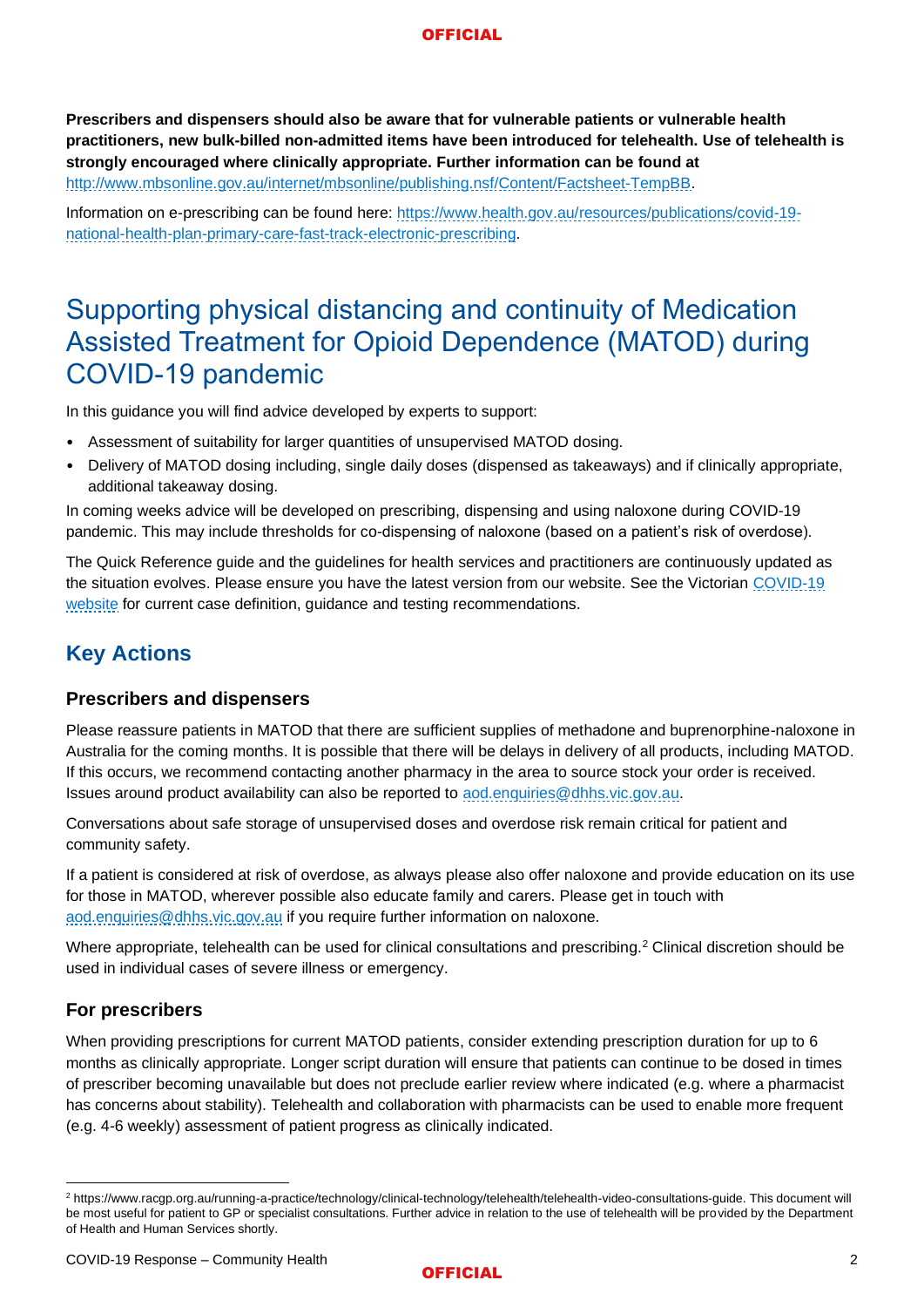### **OFFICIAL**

**Prescribers and dispensers should also be aware that for vulnerable patients or vulnerable health practitioners, new bulk-billed non-admitted items have been introduced for telehealth. Use of telehealth is strongly encouraged where clinically appropriate. Further information can be found at**  [http://www.mbsonline.gov.au/internet/mbsonline/publishing.nsf/Content/Factsheet-TempBB.](http://www.mbsonline.gov.au/internet/mbsonline/publishing.nsf/Content/Factsheet-TempBB)

Information on e-prescribing can be found here: [https://www.health.gov.au/resources/publications/covid-19](https://www.health.gov.au/resources/publications/covid-19-national-health-plan-primary-care-fast-track-electronic-prescribing) [national-health-plan-primary-care-fast-track-electronic-prescribing.](https://www.health.gov.au/resources/publications/covid-19-national-health-plan-primary-care-fast-track-electronic-prescribing)

# Supporting physical distancing and continuity of Medication Assisted Treatment for Opioid Dependence (MATOD) during COVID-19 pandemic

In this guidance you will find advice developed by experts to support:

- Assessment of suitability for larger quantities of unsupervised MATOD dosing.
- Delivery of MATOD dosing including, single daily doses (dispensed as takeaways) and if clinically appropriate, additional takeaway dosing.

In coming weeks advice will be developed on prescribing, dispensing and using naloxone during COVID-19 pandemic. This may include thresholds for co-dispensing of naloxone (based on a patient's risk of overdose).

The Quick Reference guide and the guidelines for health services and practitioners are continuously updated as the situation evolves. Please ensure you have the latest version from our website. See the Victorian COVID-19 [website](https://www.dhhs.vic.gov.au/health-services-and-general-practitioners-coronavirus-disease-covid-19) for current case definition, guidance and testing recommendations.

# **Key Actions**

## **Prescribers and dispensers**

Please reassure patients in MATOD that there are sufficient supplies of methadone and buprenorphine-naloxone in Australia for the coming months. It is possible that there will be delays in delivery of all products, including MATOD. If this occurs, we recommend contacting another pharmacy in the area to source stock your order is received. Issues around product availability can also be reported to aod.enguiries@dhhs.vic.gov.au.

Conversations about safe storage of unsupervised doses and overdose risk remain critical for patient and community safety.

If a patient is considered at risk of overdose, as always please also offer naloxone and provide education on its use for those in MATOD, wherever possible also educate family and carers. Please get in touch with [aod.enquiries@dhhs.vic.gov.au](mailto:aod.enquiries@dhhs.vic.gov.au) if you require further information on naloxone.

Where appropriate, telehealth can be used for clinical consultations and prescribing.<sup>2</sup> Clinical discretion should be used in individual cases of severe illness or emergency.

## **For prescribers**

When providing prescriptions for current MATOD patients, consider extending prescription duration for up to 6 months as clinically appropriate. Longer script duration will ensure that patients can continue to be dosed in times of prescriber becoming unavailable but does not preclude earlier review where indicated (e.g. where a pharmacist has concerns about stability). Telehealth and collaboration with pharmacists can be used to enable more frequent (e.g. 4-6 weekly) assessment of patient progress as clinically indicated.

#### **OFFICIAL**

<sup>2</sup> https://www.racgp.org.au/running-a-practice/technology/clinical-technology/telehealth/telehealth-video-consultations-guide. This document will be most useful for patient to GP or specialist consultations. Further advice in relation to the use of telehealth will be provided by the Department of Health and Human Services shortly.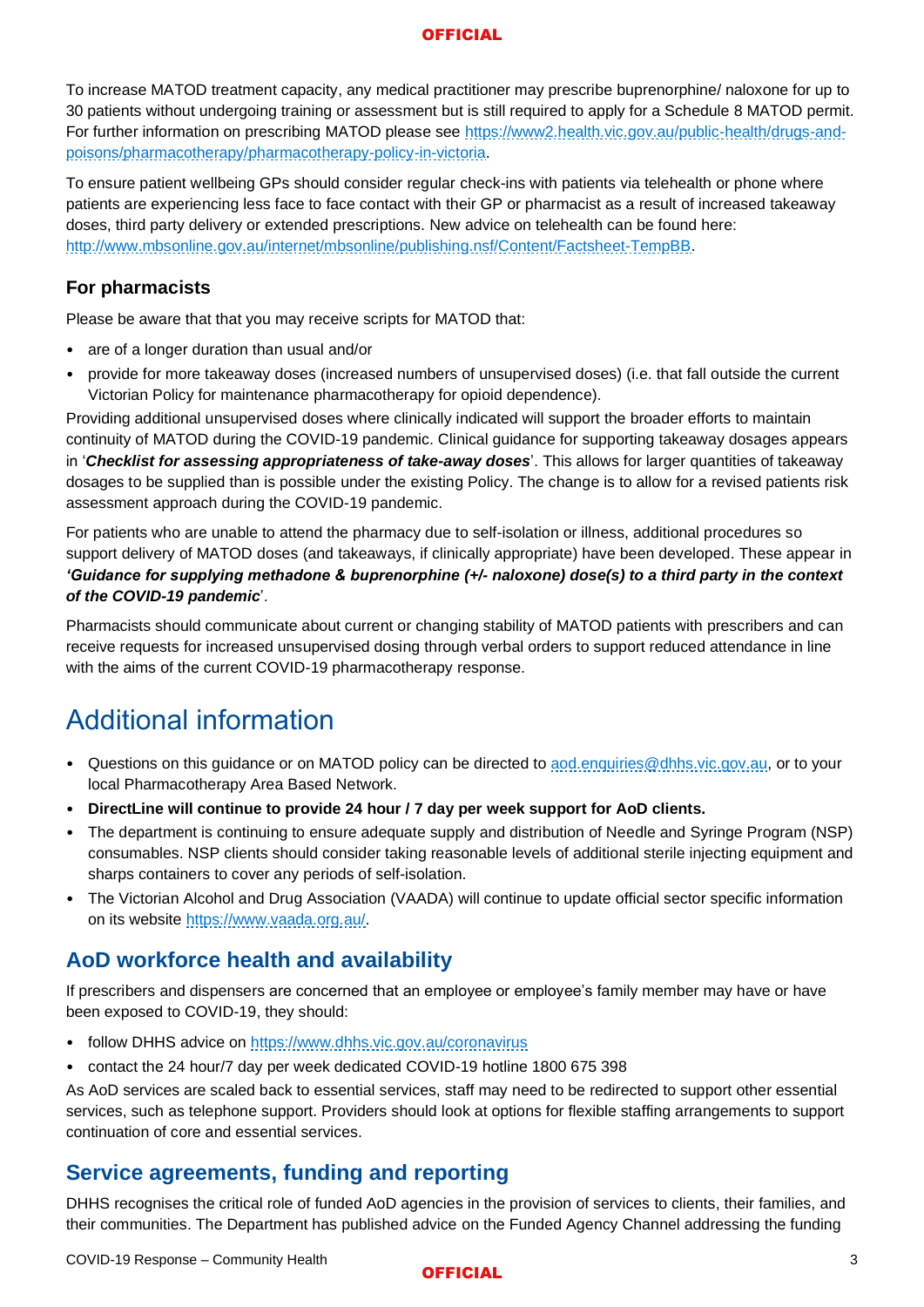### **OFFICIAL**

To increase MATOD treatment capacity, any medical practitioner may prescribe buprenorphine/ naloxone for up to 30 patients without undergoing training or assessment but is still required to apply for a Schedule 8 MATOD permit. For further information on prescribing MATOD please see [https://www2.health.vic.gov.au/public-health/drugs-and](https://www2.health.vic.gov.au/public-health/drugs-and-poisons/pharmacotherapy/pharmacotherapy-policy-in-victoria)[poisons/pharmacotherapy/pharmacotherapy-policy-in-victoria.](https://www2.health.vic.gov.au/public-health/drugs-and-poisons/pharmacotherapy/pharmacotherapy-policy-in-victoria)

To ensure patient wellbeing GPs should consider regular check-ins with patients via telehealth or phone where patients are experiencing less face to face contact with their GP or pharmacist as a result of increased takeaway doses, third party delivery or extended prescriptions. New advice on telehealth can be found here: [http://www.mbsonline.gov.au/internet/mbsonline/publishing.nsf/Content/Factsheet-TempBB.](http://www.mbsonline.gov.au/internet/mbsonline/publishing.nsf/Content/Factsheet-TempBB)

## **For pharmacists**

Please be aware that that you may receive scripts for MATOD that:

- are of a longer duration than usual and/or
- provide for more takeaway doses (increased numbers of unsupervised doses) (i.e. that fall outside the current Victorian Policy for maintenance pharmacotherapy for opioid dependence).

Providing additional unsupervised doses where clinically indicated will support the broader efforts to maintain continuity of MATOD during the COVID-19 pandemic. Clinical guidance for supporting takeaway dosages appears in '*Checklist for assessing appropriateness of take-away doses*'. This allows for larger quantities of takeaway dosages to be supplied than is possible under the existing Policy. The change is to allow for a revised patients risk assessment approach during the COVID-19 pandemic.

For patients who are unable to attend the pharmacy due to self-isolation or illness, additional procedures so support delivery of MATOD doses (and takeaways, if clinically appropriate) have been developed. These appear in *'Guidance for supplying methadone & buprenorphine (+/- naloxone) dose(s) to a third party in the context of the COVID-19 pandemic*'.

Pharmacists should communicate about current or changing stability of MATOD patients with prescribers and can receive requests for increased unsupervised dosing through verbal orders to support reduced attendance in line with the aims of the current COVID-19 pharmacotherapy response.

# Additional information

- Questions on this guidance or on MATOD policy can be directed to aod.enguiries@dhhs.vic.gov.au, or to your local Pharmacotherapy Area Based Network.
- **DirectLine will continue to provide 24 hour / 7 day per week support for AoD clients.**
- The department is continuing to ensure adequate supply and distribution of Needle and Syringe Program (NSP) consumables. NSP clients should consider taking reasonable levels of additional sterile injecting equipment and sharps containers to cover any periods of self-isolation.
- The Victorian Alcohol and Drug Association (VAADA) will continue to update official sector specific information on its website [https://www.vaada.org.au/.](https://www.vaada.org.au/)

# **AoD workforce health and availability**

If prescribers and dispensers are concerned that an employee or employee's family member may have or have been exposed to COVID-19, they should:

- follow DHHS advice on<https://www.dhhs.vic.gov.au/coronavirus>
- contact the 24 hour/7 day per week dedicated COVID-19 hotline 1800 675 398

As AoD services are scaled back to essential services, staff may need to be redirected to support other essential services, such as telephone support. Providers should look at options for flexible staffing arrangements to support continuation of core and essential services.

## **Service agreements, funding and reporting**

DHHS recognises the critical role of funded AoD agencies in the provision of services to clients, their families, and their communities. The Department has published advice on the Funded Agency Channel addressing the funding

#### **OFFICIAL**